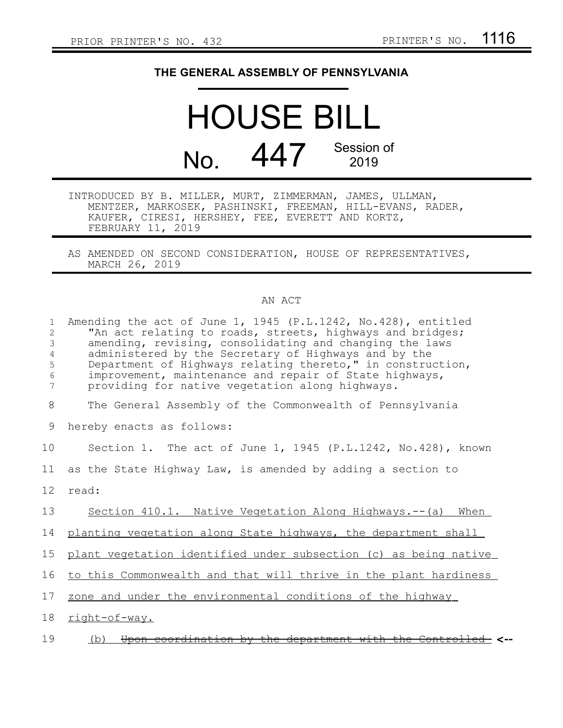## **THE GENERAL ASSEMBLY OF PENNSYLVANIA**

HOUSE BILL No. 447 Session of 2019

- INTRODUCED BY B. MILLER, MURT, ZIMMERMAN, JAMES, ULLMAN, MENTZER, MARKOSEK, PASHINSKI, FREEMAN, HILL-EVANS, RADER, KAUFER, CIRESI, HERSHEY, FEE, EVERETT AND KORTZ, FEBRUARY 11, 2019
- AS AMENDED ON SECOND CONSIDERATION, HOUSE OF REPRESENTATIVES, MARCH 26, 2019

## AN ACT

| $\mathbf{1}$<br>2<br>$\mathfrak{Z}$<br>4<br>5<br>6<br>7 | Amending the act of June 1, 1945 (P.L.1242, No.428), entitled<br>"An act relating to roads, streets, highways and bridges;<br>amending, revising, consolidating and changing the laws<br>administered by the Secretary of Highways and by the<br>Department of Highways relating thereto," in construction,<br>improvement, maintenance and repair of State highways,<br>providing for native vegetation along highways. |
|---------------------------------------------------------|--------------------------------------------------------------------------------------------------------------------------------------------------------------------------------------------------------------------------------------------------------------------------------------------------------------------------------------------------------------------------------------------------------------------------|
| 8                                                       | The General Assembly of the Commonwealth of Pennsylvania                                                                                                                                                                                                                                                                                                                                                                 |
| 9                                                       | hereby enacts as follows:                                                                                                                                                                                                                                                                                                                                                                                                |
| 10                                                      | Section 1. The act of June 1, 1945 (P.L.1242, No.428), known                                                                                                                                                                                                                                                                                                                                                             |
| 11                                                      | as the State Highway Law, is amended by adding a section to                                                                                                                                                                                                                                                                                                                                                              |
| 12 <sup>°</sup>                                         | read:                                                                                                                                                                                                                                                                                                                                                                                                                    |
| 13                                                      | Section 410.1. Native Vegetation Along Highways.--(a) When                                                                                                                                                                                                                                                                                                                                                               |
| 14                                                      | planting vegetation along State highways, the department shall                                                                                                                                                                                                                                                                                                                                                           |
| 15                                                      | plant vegetation identified under subsection (c) as being native                                                                                                                                                                                                                                                                                                                                                         |
| 16                                                      | to this Commonwealth and that will thrive in the plant hardiness                                                                                                                                                                                                                                                                                                                                                         |
| 17                                                      | zone and under the environmental conditions of the highway                                                                                                                                                                                                                                                                                                                                                               |
| 18                                                      | right-of-way.                                                                                                                                                                                                                                                                                                                                                                                                            |
| 19                                                      | Upon coordination by the department with the Controlled <--<br>(b)                                                                                                                                                                                                                                                                                                                                                       |